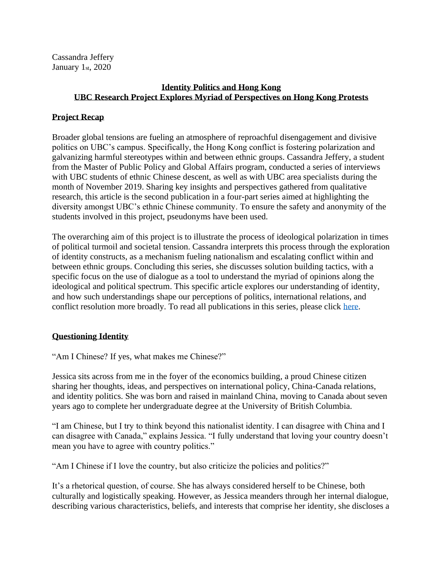Cassandra Jeffery January 1<sub>st</sub>, 2020

# **Identity Politics and Hong Kong UBC Research Project Explores Myriad of Perspectives on Hong Kong Protests**

#### **Project Recap**

Broader global tensions are fueling an atmosphere of reproachful disengagement and divisive politics on UBC's campus. Specifically, the Hong Kong conflict is fostering polarization and galvanizing harmful stereotypes within and between ethnic groups. Cassandra Jeffery, a student from the Master of Public Policy and Global Affairs program, conducted a series of interviews with UBC students of ethnic Chinese descent, as well as with UBC area specialists during the month of November 2019. Sharing key insights and perspectives gathered from qualitative research, this article is the second publication in a four-part series aimed at highlighting the diversity amongst UBC's ethnic Chinese community. To ensure the safety and anonymity of the students involved in this project, pseudonyms have been used.

The overarching aim of this project is to illustrate the process of ideological polarization in times of political turmoil and societal tension. Cassandra interprets this process through the exploration of identity constructs, as a mechanism fueling nationalism and escalating conflict within and between ethnic groups. Concluding this series, she discusses solution building tactics, with a specific focus on the use of dialogue as a tool to understand the myriad of opinions along the ideological and political spectrum. This specific article explores our understanding of identity, and how such understandings shape our perceptions of politics, international relations, and conflict resolution more broadly. To read all publications in this series, please click [here.](https://sppga.ubc.ca/news/hong-kong-contextualized-exploring-conflict-through-students-lens)

## **Questioning Identity**

"Am I Chinese? If yes, what makes me Chinese?"

Jessica sits across from me in the foyer of the economics building, a proud Chinese citizen sharing her thoughts, ideas, and perspectives on international policy, China-Canada relations, and identity politics. She was born and raised in mainland China, moving to Canada about seven years ago to complete her undergraduate degree at the University of British Columbia.

"I am Chinese, but I try to think beyond this nationalist identity. I can disagree with China and I can disagree with Canada," explains Jessica. "I fully understand that loving your country doesn't mean you have to agree with country politics."

"Am I Chinese if I love the country, but also criticize the policies and politics?"

It's a rhetorical question, of course. She has always considered herself to be Chinese, both culturally and logistically speaking. However, as Jessica meanders through her internal dialogue, describing various characteristics, beliefs, and interests that comprise her identity, she discloses a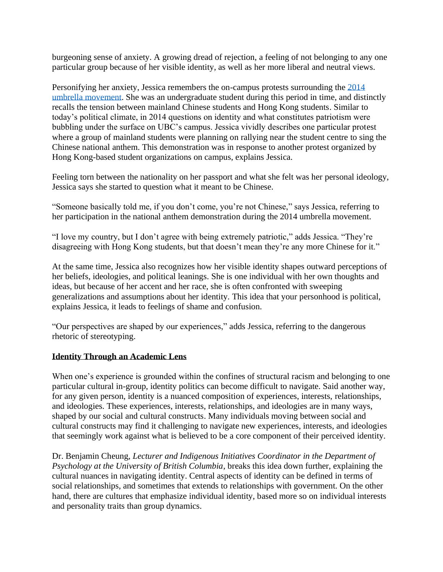burgeoning sense of anxiety. A growing dread of rejection, a feeling of not belonging to any one particular group because of her visible identity, as well as her more liberal and neutral views.

Personifying her anxiety, Jessica remembers the on-campus protests surrounding the [2014](https://www.bbc.co.uk/newsround/49862757)  [umbrella movement.](https://www.bbc.co.uk/newsround/49862757) She was an undergraduate student during this period in time, and distinctly recalls the tension between mainland Chinese students and Hong Kong students. Similar to today's political climate, in 2014 questions on identity and what constitutes patriotism were bubbling under the surface on UBC's campus. Jessica vividly describes one particular protest where a group of mainland students were planning on rallying near the student centre to sing the Chinese national anthem. This demonstration was in response to another protest organized by Hong Kong-based student organizations on campus, explains Jessica.

Feeling torn between the nationality on her passport and what she felt was her personal ideology, Jessica says she started to question what it meant to be Chinese.

"Someone basically told me, if you don't come, you're not Chinese," says Jessica, referring to her participation in the national anthem demonstration during the 2014 umbrella movement.

"I love my country, but I don't agree with being extremely patriotic," adds Jessica. "They're disagreeing with Hong Kong students, but that doesn't mean they're any more Chinese for it."

At the same time, Jessica also recognizes how her visible identity shapes outward perceptions of her beliefs, ideologies, and political leanings. She is one individual with her own thoughts and ideas, but because of her accent and her race, she is often confronted with sweeping generalizations and assumptions about her identity. This idea that your personhood is political, explains Jessica, it leads to feelings of shame and confusion.

"Our perspectives are shaped by our experiences," adds Jessica, referring to the dangerous rhetoric of stereotyping.

## **Identity Through an Academic Lens**

When one's experience is grounded within the confines of structural racism and belonging to one particular cultural in-group, identity politics can become difficult to navigate. Said another way, for any given person, identity is a nuanced composition of experiences, interests, relationships, and ideologies. These experiences, interests, relationships, and ideologies are in many ways, shaped by our social and cultural constructs. Many individuals moving between social and cultural constructs may find it challenging to navigate new experiences, interests, and ideologies that seemingly work against what is believed to be a core component of their perceived identity.

Dr. Benjamin Cheung, *Lecturer and Indigenous Initiatives Coordinator in the Department of Psychology at the University of British Columbia*, breaks this idea down further, explaining the cultural nuances in navigating identity. Central aspects of identity can be defined in terms of social relationships, and sometimes that extends to relationships with government. On the other hand, there are cultures that emphasize individual identity, based more so on individual interests and personality traits than group dynamics.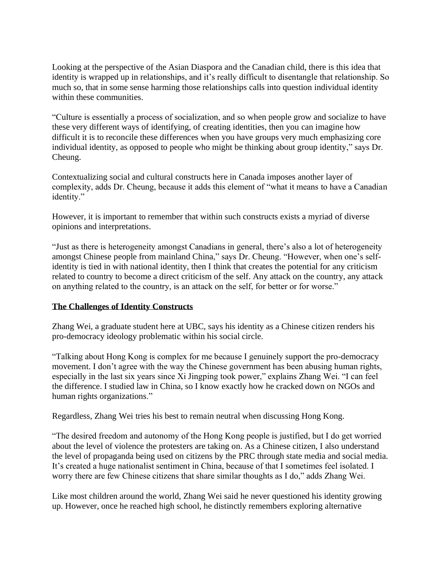Looking at the perspective of the Asian Diaspora and the Canadian child, there is this idea that identity is wrapped up in relationships, and it's really difficult to disentangle that relationship. So much so, that in some sense harming those relationships calls into question individual identity within these communities.

"Culture is essentially a process of socialization, and so when people grow and socialize to have these very different ways of identifying, of creating identities, then you can imagine how difficult it is to reconcile these differences when you have groups very much emphasizing core individual identity, as opposed to people who might be thinking about group identity," says Dr. Cheung.

Contextualizing social and cultural constructs here in Canada imposes another layer of complexity, adds Dr. Cheung, because it adds this element of "what it means to have a Canadian identity."

However, it is important to remember that within such constructs exists a myriad of diverse opinions and interpretations.

"Just as there is heterogeneity amongst Canadians in general, there's also a lot of heterogeneity amongst Chinese people from mainland China," says Dr. Cheung. "However, when one's selfidentity is tied in with national identity, then I think that creates the potential for any criticism related to country to become a direct criticism of the self. Any attack on the country, any attack on anything related to the country, is an attack on the self, for better or for worse."

## **The Challenges of Identity Constructs**

Zhang Wei, a graduate student here at UBC, says his identity as a Chinese citizen renders his pro-democracy ideology problematic within his social circle.

"Talking about Hong Kong is complex for me because I genuinely support the pro-democracy movement. I don't agree with the way the Chinese government has been abusing human rights, especially in the last six years since Xi Jingping took power," explains Zhang Wei. "I can feel the difference. I studied law in China, so I know exactly how he cracked down on NGOs and human rights organizations."

Regardless, Zhang Wei tries his best to remain neutral when discussing Hong Kong.

"The desired freedom and autonomy of the Hong Kong people is justified, but I do get worried about the level of violence the protesters are taking on. As a Chinese citizen, I also understand the level of propaganda being used on citizens by the PRC through state media and social media. It's created a huge nationalist sentiment in China, because of that I sometimes feel isolated. I worry there are few Chinese citizens that share similar thoughts as I do," adds Zhang Wei.

Like most children around the world, Zhang Wei said he never questioned his identity growing up. However, once he reached high school, he distinctly remembers exploring alternative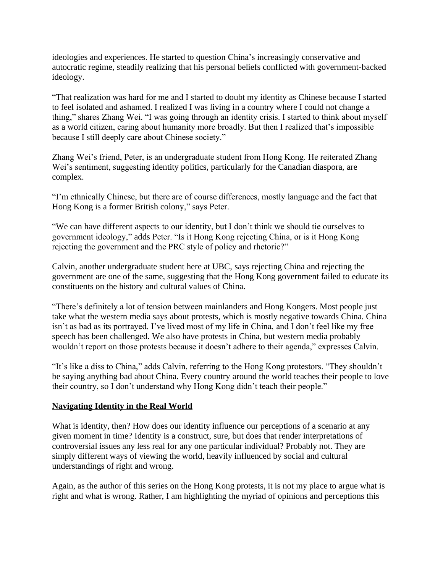ideologies and experiences. He started to question China's increasingly conservative and autocratic regime, steadily realizing that his personal beliefs conflicted with government-backed ideology.

"That realization was hard for me and I started to doubt my identity as Chinese because I started to feel isolated and ashamed. I realized I was living in a country where I could not change a thing," shares Zhang Wei. "I was going through an identity crisis. I started to think about myself as a world citizen, caring about humanity more broadly. But then I realized that's impossible because I still deeply care about Chinese society."

Zhang Wei's friend, Peter, is an undergraduate student from Hong Kong. He reiterated Zhang Wei's sentiment, suggesting identity politics, particularly for the Canadian diaspora, are complex.

"I'm ethnically Chinese, but there are of course differences, mostly language and the fact that Hong Kong is a former British colony," says Peter.

"We can have different aspects to our identity, but I don't think we should tie ourselves to government ideology," adds Peter. "Is it Hong Kong rejecting China, or is it Hong Kong rejecting the government and the PRC style of policy and rhetoric?"

Calvin, another undergraduate student here at UBC, says rejecting China and rejecting the government are one of the same, suggesting that the Hong Kong government failed to educate its constituents on the history and cultural values of China.

"There's definitely a lot of tension between mainlanders and Hong Kongers. Most people just take what the western media says about protests, which is mostly negative towards China. China isn't as bad as its portrayed. I've lived most of my life in China, and I don't feel like my free speech has been challenged. We also have protests in China, but western media probably wouldn't report on those protests because it doesn't adhere to their agenda," expresses Calvin.

"It's like a diss to China," adds Calvin, referring to the Hong Kong protestors. "They shouldn't be saying anything bad about China. Every country around the world teaches their people to love their country, so I don't understand why Hong Kong didn't teach their people."

## **Navigating Identity in the Real World**

What is identity, then? How does our identity influence our perceptions of a scenario at any given moment in time? Identity is a construct, sure, but does that render interpretations of controversial issues any less real for any one particular individual? Probably not. They are simply different ways of viewing the world, heavily influenced by social and cultural understandings of right and wrong.

Again, as the author of this series on the Hong Kong protests, it is not my place to argue what is right and what is wrong. Rather, I am highlighting the myriad of opinions and perceptions this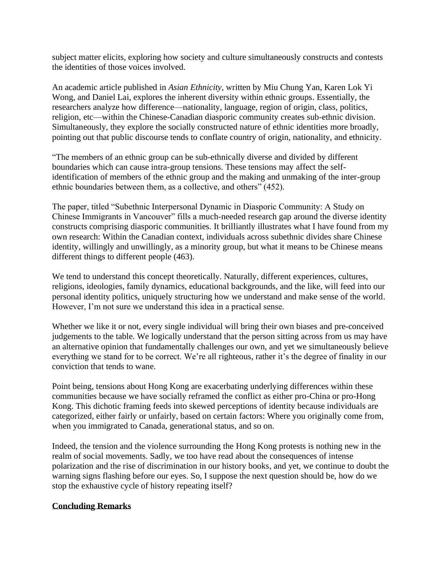subject matter elicits, exploring how society and culture simultaneously constructs and contests the identities of those voices involved.

An academic article published in *Asian Ethnicity*, written by Miu Chung Yan, Karen Lok Yi Wong, and Daniel Lai, explores the inherent diversity within ethnic groups. Essentially, the researchers analyze how difference—nationality, language, region of origin, class, politics, religion, etc—within the Chinese-Canadian diasporic community creates sub-ethnic division. Simultaneously, they explore the socially constructed nature of ethnic identities more broadly, pointing out that public discourse tends to conflate country of origin, nationality, and ethnicity.

"The members of an ethnic group can be sub-ethnically diverse and divided by different boundaries which can cause intra-group tensions. These tensions may affect the selfidentification of members of the ethnic group and the making and unmaking of the inter-group ethnic boundaries between them, as a collective, and others" (452).

The paper, titled "Subethnic Interpersonal Dynamic in Diasporic Community: A Study on Chinese Immigrants in Vancouver" fills a much-needed research gap around the diverse identity constructs comprising diasporic communities. It brilliantly illustrates what I have found from my own research: Within the Canadian context, individuals across subethnic divides share Chinese identity, willingly and unwillingly, as a minority group, but what it means to be Chinese means different things to different people (463).

We tend to understand this concept theoretically. Naturally, different experiences, cultures, religions, ideologies, family dynamics, educational backgrounds, and the like, will feed into our personal identity politics, uniquely structuring how we understand and make sense of the world. However, I'm not sure we understand this idea in a practical sense.

Whether we like it or not, every single individual will bring their own biases and pre-conceived judgements to the table. We logically understand that the person sitting across from us may have an alternative opinion that fundamentally challenges our own, and yet we simultaneously believe everything we stand for to be correct. We're all righteous, rather it's the degree of finality in our conviction that tends to wane.

Point being, tensions about Hong Kong are exacerbating underlying differences within these communities because we have socially reframed the conflict as either pro-China or pro-Hong Kong. This dichotic framing feeds into skewed perceptions of identity because individuals are categorized, either fairly or unfairly, based on certain factors: Where you originally come from, when you immigrated to Canada, generational status, and so on.

Indeed, the tension and the violence surrounding the Hong Kong protests is nothing new in the realm of social movements. Sadly, we too have read about the consequences of intense polarization and the rise of discrimination in our history books, and yet, we continue to doubt the warning signs flashing before our eyes. So, I suppose the next question should be, how do we stop the exhaustive cycle of history repeating itself?

#### **Concluding Remarks**